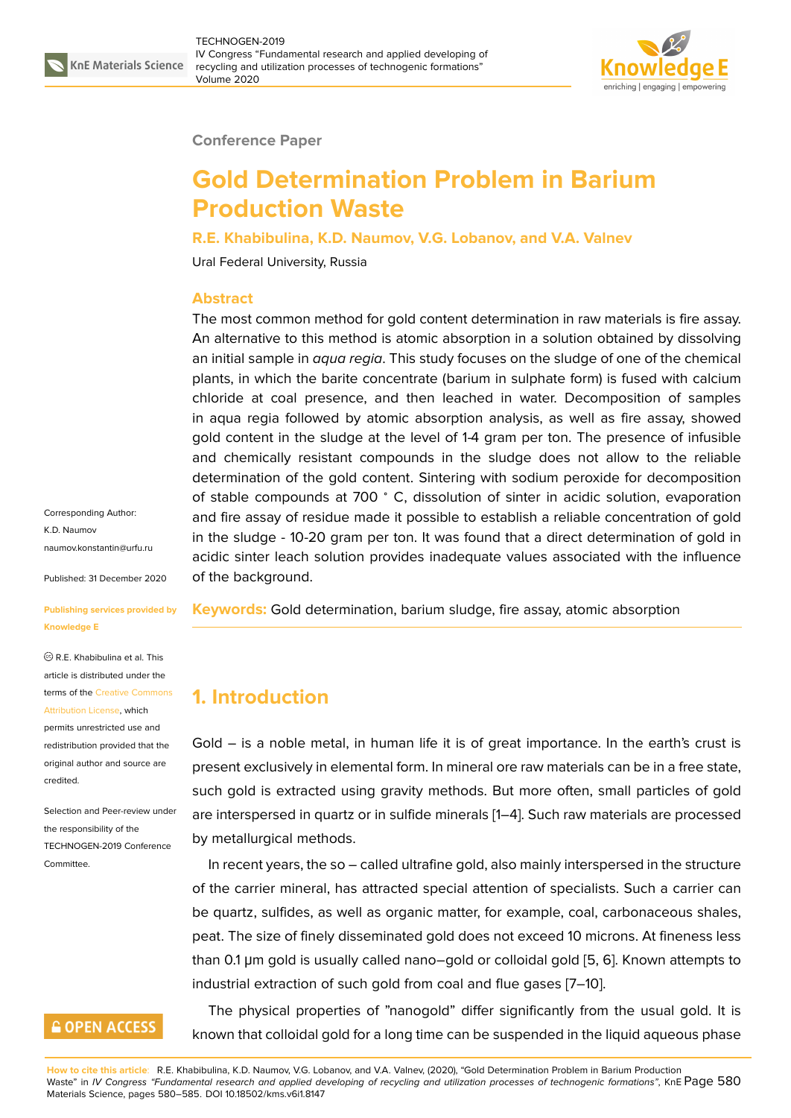

#### **Conference Paper**

# **Gold Determination Problem in Barium Production Waste**

**R.E. Khabibulina, K.D. Naumov, V.G. Lobanov, and V.A. Valnev**

Ural Federal University, Russia

#### **Abstract**

The most common method for gold content determination in raw materials is fire assay. An alternative to this method is atomic absorption in a solution obtained by dissolving an initial sample in *aqua regia*. This study focuses on the sludge of one of the chemical plants, in which the barite concentrate (barium in sulphate form) is fused with calcium chloride at coal presence, and then leached in water. Decomposition of samples in aqua regia followed by atomic absorption analysis, as well as fire assay, showed gold content in the sludge at the level of 1-4 gram per ton. The presence of infusible and chemically resistant compounds in the sludge does not allow to the reliable determination of the gold content. Sintering with sodium peroxide for decomposition of stable compounds at 700 <sup>∘</sup> C, dissolution of sinter in acidic solution, evaporation and fire assay of residue made it possible to establish a reliable concentration of gold in the sludge - 10-20 gram per ton. It was found that a direct determination of gold in acidic sinter leach solution provides inadequate values associated with the influence of the background.

**Keywords:** Gold determination, barium sludge, fire assay, atomic absorption

### **1. Introduction**

Gold – is a noble metal, in human life it is of great importance. In the earth's crust is present exclusively in elemental form. In mineral ore raw materials can be in a free state, such gold is extracted using gravity methods. But more often, small particles of gold are interspersed in quartz or in sulfide minerals [1–4]. Such raw materials are processed by metallurgical methods.

In recent years, the so – called ultrafine gold, also mainly interspersed in the structure of the carrier mineral, has attracted special att[en](#page-4-0)t[io](#page-4-1)n of specialists. Such a carrier can be quartz, sulfides, as well as organic matter, for example, coal, carbonaceous shales, peat. The size of finely disseminated gold does not exceed 10 microns. At fineness less than 0.1 μm gold is usually called nano–gold or colloidal gold [5, 6]. Known attempts to industrial extraction of such gold from coal and flue gases [7–10].

The physical properties of "nanogold" differ significantly from the usual gold. It is known that colloidal gold for a long time can be suspended in t[he](#page-4-2) [li](#page-4-3)quid aqueous phase

K.D. Naumov naumov.konstantin@urfu.ru Published: 31 December 2020

Corresponding Author:

#### **[Publishing services provid](mailto:naumov.konstantin@urfu.ru)ed by Knowledge E**

R.E. Khabibulina et al. This article is distributed under the terms of the Creative Commons Attribution License, which

permits unrestricted use and redistribution provided that the original auth[or and source are](https://creativecommons.org/licenses/by/4.0/) [credited.](https://creativecommons.org/licenses/by/4.0/)

Selection and Peer-review under the responsibility of the TECHNOGEN-2019 Conference **Committee** 

### **GOPEN ACCESS**

**How to cite this article**: R.E. Khabibulina, K.D. Naumov, V.G. Lobanov, and V.A. Valnev, (2020), "Gold Determination Problem in Barium Production Waste" in *IV Congress "Fundamental research and applied developing of recycling and utilization processes of technogenic formations"*, KnE Page 580 Materials Science, pages 580–585. DOI 10.18502/kms.v6i1.8147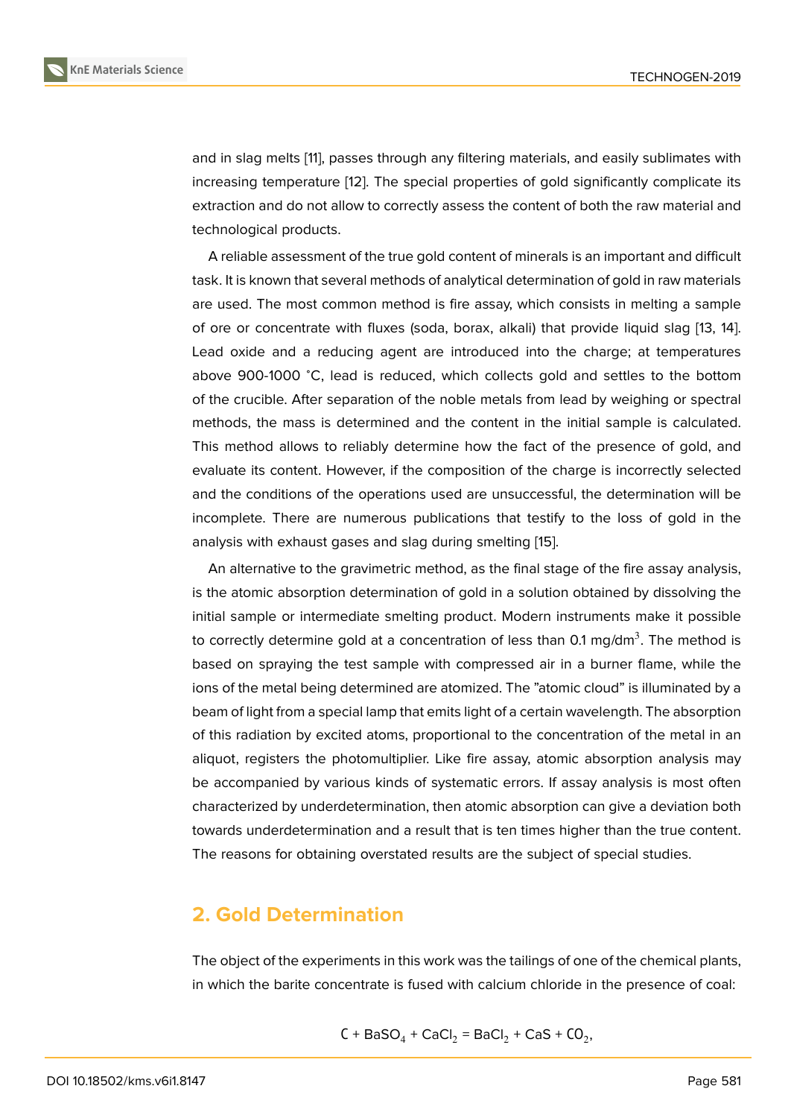and in slag melts [11], passes through any filtering materials, and easily sublimates with increasing temperature [12]. The special properties of gold significantly complicate its extraction and do not allow to correctly assess the content of both the raw material and technological pro[du](#page-4-4)cts.

A reliable assessment [of](#page-4-5) the true gold content of minerals is an important and difficult task. It is known that several methods of analytical determination of gold in raw materials are used. The most common method is fire assay, which consists in melting a sample of ore or concentrate with fluxes (soda, borax, alkali) that provide liquid slag [13, 14]. Lead oxide and a reducing agent are introduced into the charge; at temperatures above 900-1000 <sup>∘</sup>C, lead is reduced, which collects gold and settles to the bottom of the crucible. After separation of the noble metals from lead by weighing or s[pe](#page-4-6)[ctra](#page-4-7)l methods, the mass is determined and the content in the initial sample is calculated. This method allows to reliably determine how the fact of the presence of gold, and evaluate its content. However, if the composition of the charge is incorrectly selected and the conditions of the operations used are unsuccessful, the determination will be incomplete. There are numerous publications that testify to the loss of gold in the analysis with exhaust gases and slag during smelting [15].

An alternative to the gravimetric method, as the final stage of the fire assay analysis, is the atomic absorption determination of gold in a solution obtained by dissolving the initial sample or intermediate smelting product. Mode[rn](#page-5-0) instruments make it possible to correctly determine gold at a concentration of less than 0.1 mg/dm $^3.$  The method is based on spraying the test sample with compressed air in a burner flame, while the ions of the metal being determined are atomized. The "atomic cloud" is illuminated by a beam of light from a special lamp that emits light of a certain wavelength. The absorption of this radiation by excited atoms, proportional to the concentration of the metal in an aliquot, registers the photomultiplier. Like fire assay, atomic absorption analysis may be accompanied by various kinds of systematic errors. If assay analysis is most often characterized by underdetermination, then atomic absorption can give a deviation both towards underdetermination and a result that is ten times higher than the true content. The reasons for obtaining overstated results are the subject of special studies.

### **2. Gold Determination**

The object of the experiments in this work was the tailings of one of the chemical plants, in which the barite concentrate is fused with calcium chloride in the presence of coal:

$$
C + BaSO4 + CaCl2 = BaCl2 + CaS + CO2,
$$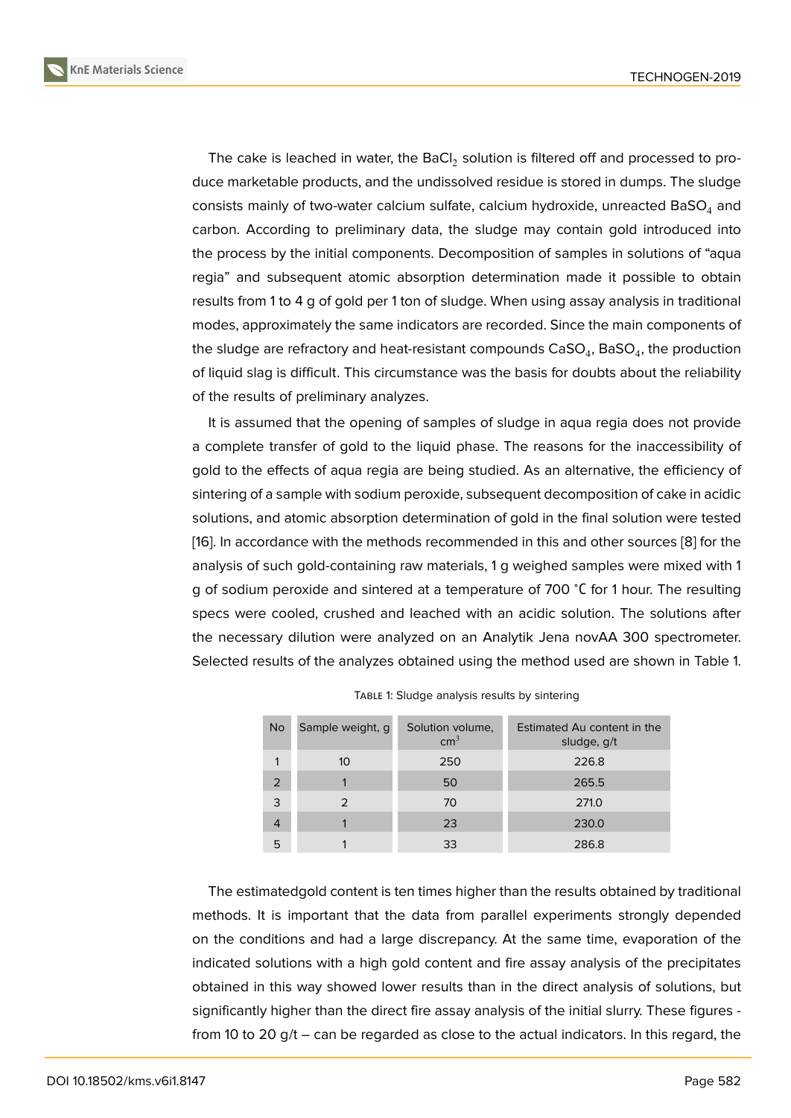The cake is leached in water, the BaCl $_2$  solution is filtered off and processed to produce marketable products, and the undissolved residue is stored in dumps. The sludge consists mainly of two-water calcium sulfate, calcium hydroxide, unreacted BaSO $_4$  and carbon. According to preliminary data, the sludge may contain gold introduced into the process by the initial components. Decomposition of samples in solutions of "aqua regia" and subsequent atomic absorption determination made it possible to obtain results from 1 to 4 g of gold per 1 ton of sludge. When using assay analysis in traditional modes, approximately the same indicators are recorded. Since the main components of the sludge are refractory and heat-resistant compounds  $\mathsf{CaSO}_4$ ,  $\mathsf{BaSO}_4$ , the production of liquid slag is difficult. This circumstance was the basis for doubts about the reliability of the results of preliminary analyzes.

It is assumed that the opening of samples of sludge in aqua regia does not provide a complete transfer of gold to the liquid phase. The reasons for the inaccessibility of gold to the effects of aqua regia are being studied. As an alternative, the efficiency of sintering of a sample with sodium peroxide, subsequent decomposition of cake in acidic solutions, and atomic absorption determination of gold in the final solution were tested [16]. In accordance with the methods recommended in this and other sources [8] for the analysis of such gold-containing raw materials, 1 g weighed samples were mixed with 1 g of sodium peroxide and sintered at a temperature of 700 <sup>∘</sup>С for 1 hour. The resulting [spe](#page-5-1)cs were cooled, crushed and leached with an acidic solution. The soluti[on](#page-4-8)s after the necessary dilution were analyzed on an Analytik Jena novAA 300 spectrometer. Selected results of the analyzes obtained using the method used are shown in Table 1.

| No | Sample weight, q | Solution volume,<br>$\text{cm}^3$ | Estimated Au content in the<br>sludge, g/t |  |  |
|----|------------------|-----------------------------------|--------------------------------------------|--|--|
|    | 10               | 250                               | 226.8                                      |  |  |
| 2  |                  | 50                                | 265.5                                      |  |  |
| 3  |                  | 70                                | 271.0                                      |  |  |
| 4  |                  | 23                                | 230.0                                      |  |  |
| 5  |                  | 33                                | 286.8                                      |  |  |

| TABLE 1: Sludge analysis results by sintering |  |  |  |  |
|-----------------------------------------------|--|--|--|--|
|-----------------------------------------------|--|--|--|--|

The estimatedgold content is ten times higher than the results obtained by traditional methods. It is important that the data from parallel experiments strongly depended on the conditions and had a large discrepancy. At the same time, evaporation of the indicated solutions with a high gold content and fire assay analysis of the precipitates obtained in this way showed lower results than in the direct analysis of solutions, but significantly higher than the direct fire assay analysis of the initial slurry. These figures from 10 to 20 g/t – can be regarded as close to the actual indicators. In this regard, the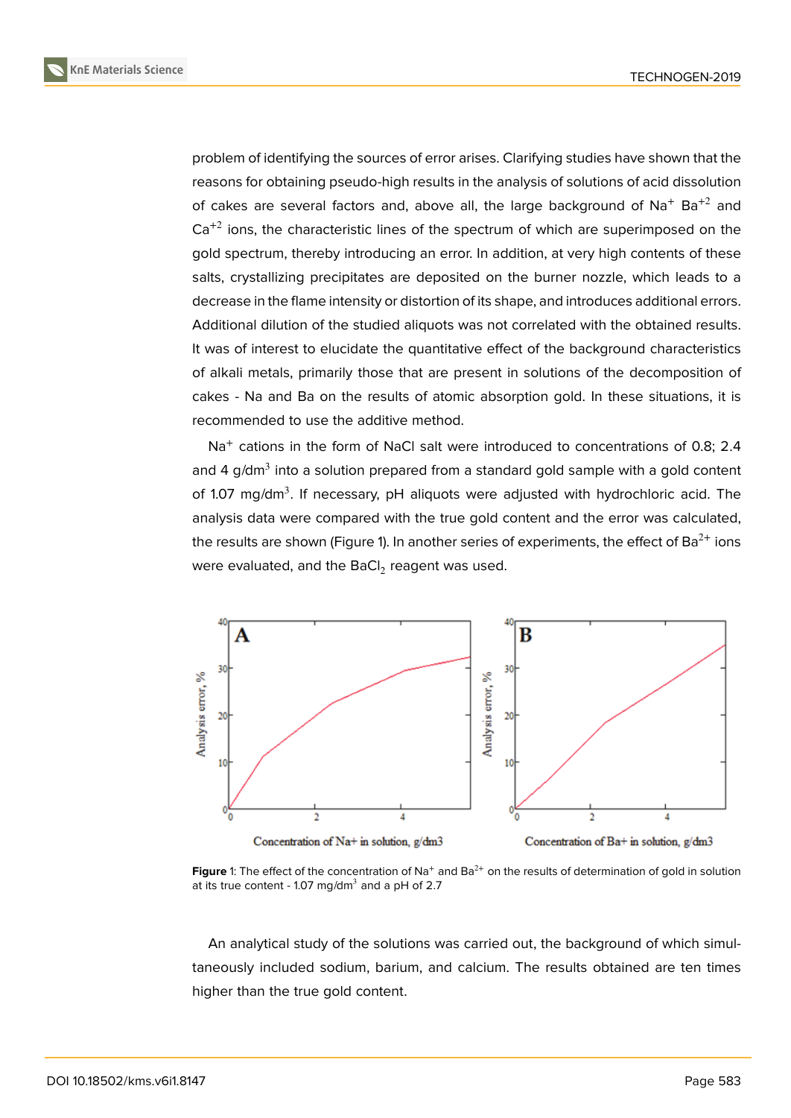problem of identifying the sources of error arises. Clarifying studies have shown that the reasons for obtaining pseudo-high results in the analysis of solutions of acid dissolution of cakes are several factors and, above all, the large background of  $Na<sup>+</sup> Ba<sup>+2</sup>$  and  $Ca^{+2}$  ions, the characteristic lines of the spectrum of which are superimposed on the gold spectrum, thereby introducing an error. In addition, at very high contents of these salts, crystallizing precipitates are deposited on the burner nozzle, which leads to a decrease in the flame intensity or distortion of its shape, and introduces additional errors. Additional dilution of the studied aliquots was not correlated with the obtained results. It was of interest to elucidate the quantitative effect of the background characteristics of alkali metals, primarily those that are present in solutions of the decomposition of cakes - Na and Ba on the results of atomic absorption gold. In these situations, it is recommended to use the additive method.

Na<sup>+</sup> cations in the form of NaCl salt were introduced to concentrations of 0.8; 2.4 and 4 g/dm $^3$  into a solution prepared from a standard gold sample with a gold content of 1.07 mg/dm<sup>3</sup>. If necessary, pH aliquots were adjusted with hydrochloric acid. The analysis data were compared with the true gold content and the error was calculated, the results are shown (Figure 1). In another series of experiments, the effect of Ba<sup>2+</sup> ions were evaluated, and the BaCl $_2$  reagent was used.



**Figure** 1: The effect of the concentration of Na<sup>+</sup> and Ba<sup>2+</sup> on the results of determination of gold in solution at its true content - 1.07 mg/dm $^3$  and a pH of 2.7

An analytical study of the solutions was carried out, the background of which simultaneously included sodium, barium, and calcium. The results obtained are ten times higher than the true gold content.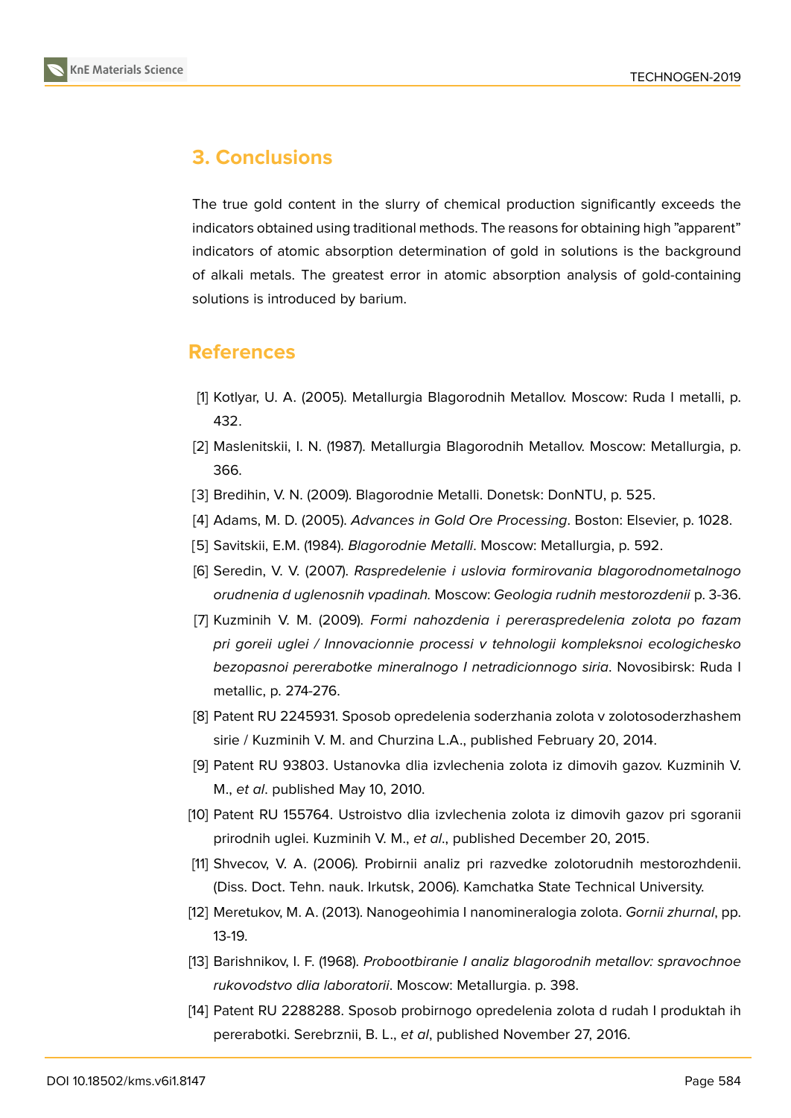

## **3. Conclusions**

The true gold content in the slurry of chemical production significantly exceeds the indicators obtained using traditional methods. The reasons for obtaining high "apparent" indicators of atomic absorption determination of gold in solutions is the background of alkali metals. The greatest error in atomic absorption analysis of gold-containing solutions is introduced by barium.

### **References**

- <span id="page-4-0"></span>[1] Kotlyar, U. A. (2005). Metallurgia Blagorodnih Metallov. Moscow: Ruda I metalli, p. 432.
- [2] Maslenitskii, I. N. (1987). Metallurgia Blagorodnih Metallov. Moscow: Metallurgia, p. 366.
- [3] Bredihin, V. N. (2009). Blagorodnie Metalli. Donetsk: DonNTU, p. 525.
- <span id="page-4-1"></span>[4] Adams, M. D. (2005). *Advances in Gold Ore Processing*. Boston: Elsevier, p. 1028.
- <span id="page-4-2"></span>[5] Savitskii, E.M. (1984). *Blagorodnie Metalli*. Moscow: Metallurgia, p. 592.
- <span id="page-4-3"></span>[6] Seredin, V. V. (2007). *Raspredelenie i uslovia formirovania blagorodnometalnogo orudnenia d uglenosnih vpadinah.* Moscow: *Geologia rudnih mestorozdenii* p. 3-36.
- [7] Kuzminih V. M. (2009). *Formi nahozdenia i pereraspredelenia zolota po fazam pri goreii uglei / Innovacionnie processi v tehnologii kompleksnoi ecologichesko bezopasnoi pererabotke mineralnogo I netradicionnogo siria*. Novosibirsk: Ruda I metallic, p. 274-276.
- <span id="page-4-8"></span>[8] Patent RU 2245931. Sposob opredelenia soderzhania zolota v zolotosoderzhashem sirie / Kuzminih V. M. and Churzina L.A., published February 20, 2014.
- [9] Patent RU 93803. Ustanovka dlia izvlechenia zolota iz dimovih gazov. Kuzminih V. M., *et al*. published May 10, 2010.
- [10] Patent RU 155764. Ustroistvo dlia izvlechenia zolota iz dimovih gazov pri sgoranii prirodnih uglei. Kuzminih V. M., *et al*., published December 20, 2015.
- <span id="page-4-4"></span>[11] Shvecov, V. A. (2006). Probirnii analiz pri razvedke zolotorudnih mestorozhdenii. (Diss. Doct. Tehn. nauk. Irkutsk, 2006). Kamchatka State Technical University.
- <span id="page-4-5"></span>[12] Meretukov, M. A. (2013). Nanogeohimia I nanomineralogia zolota. *Gornii zhurnal*, pp. 13-19.
- <span id="page-4-6"></span>[13] Barishnikov, I. F. (1968). *Probootbiranie I analiz blagorodnih metallov: spravochnoe rukovodstvo dlia laboratorii*. Moscow: Metallurgia. p. 398.
- <span id="page-4-7"></span>[14] Patent RU 2288288. Sposob probirnogo opredelenia zolota d rudah I produktah ih pererabotki. Serebrznii, B. L., *et al*, published November 27, 2016.